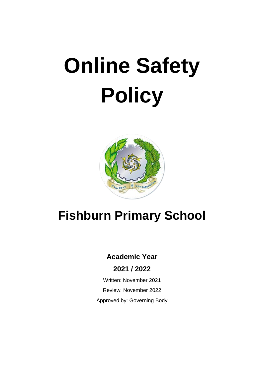# **Online Safety Policy**



# **Fishburn Primary School**

# **Academic Year**

# **2021 / 2022**

Written: November 2021 Review: November 2022 Approved by: Governing Body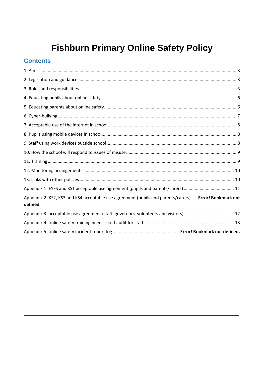# **Fishburn Primary Online Safety Policy**

# **Contents**

| Appendix 2: KS2, KS3 and KS4 acceptable use agreement (pupils and parents/carers) Error! Bookmark not<br>defined. |  |
|-------------------------------------------------------------------------------------------------------------------|--|
|                                                                                                                   |  |
|                                                                                                                   |  |
|                                                                                                                   |  |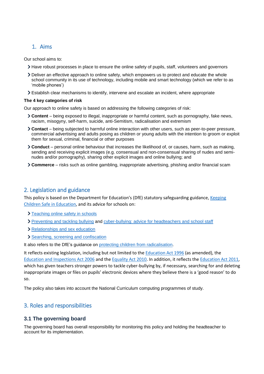## <span id="page-2-0"></span>1. Aims

Our school aims to:

- Have robust processes in place to ensure the online safety of pupils, staff, volunteers and governors
- Deliver an effective approach to online safety, which empowers us to protect and educate the whole school community in its use of technology, including mobile and smart technology (which we refer to as 'mobile phones')
- Establish clear mechanisms to identify, intervene and escalate an incident, where appropriate

#### **The 4 key categories of risk**

Our approach to online safety is based on addressing the following categories of risk:

- **Content** being exposed to illegal, inappropriate or harmful content, such as pornography, fake news, racism, misogyny, self-harm, suicide, anti-Semitism, radicalisation and extremism
- **Contact** being subjected to harmful online interaction with other users, such as peer-to-peer pressure, commercial advertising and adults posing as children or young adults with the intention to groom or exploit them for sexual, criminal, financial or other purposes
- **Conduct** personal online behaviour that increases the likelihood of, or causes, harm, such as making, sending and receiving explicit images (e.g. consensual and non-consensual sharing of nudes and seminudes and/or pornography), sharing other explicit images and online bullying; and
- **Commerce** risks such as online gambling, inappropriate advertising, phishing and/or financial scam

## <span id="page-2-1"></span>2. Legislation and guidance

This policy is based on the Department for Education's (DfE) statutory safeguarding guidance[, Keeping](https://www.gov.uk/government/publications/keeping-children-safe-in-education--2)  [Children Safe in Education,](https://www.gov.uk/government/publications/keeping-children-safe-in-education--2) and its advice for schools on:

- > [Teaching online safety in schools](https://www.gov.uk/government/publications/teaching-online-safety-in-schools)
- [Preventing and tackling bullying](https://www.gov.uk/government/publications/preventing-and-tackling-bullying) and [cyber-bullying: advice for headteachers and school staff](https://www.gov.uk/government/publications/preventing-and-tackling-bullying)
- > [Relationships and sex education](https://www.gov.uk/government/publications/relationships-education-relationships-and-sex-education-rse-and-health-education)
- [Searching, screening and confiscation](https://www.gov.uk/government/publications/searching-screening-and-confiscation)

It also refers to the DfE's guidance on [protecting children from radicalisation.](https://www.gov.uk/government/publications/protecting-children-from-radicalisation-the-prevent-duty)

It reflects existing legislation, including but not limited to the [Education Act 1996](https://www.legislation.gov.uk/ukpga/1996/56/contents) (as amended), the [Education and Inspections Act 2006](https://www.legislation.gov.uk/ukpga/2006/40/contents) and th[e Equality Act 2010.](https://www.legislation.gov.uk/ukpga/2010/15/contents) In addition, it reflects the [Education Act 2011,](http://www.legislation.gov.uk/ukpga/2011/21/contents/enacted) which has given teachers stronger powers to tackle cyber-bullying by, if necessary, searching for and deleting inappropriate images or files on pupils' electronic devices where they believe there is a 'good reason' to do so.

<span id="page-2-2"></span>The policy also takes into account the National Curriculum computing programmes of study.

# 3. Roles and responsibilities

#### **3.1 The governing board**

The governing board has overall responsibility for monitoring this policy and holding the headteacher to account for its implementation.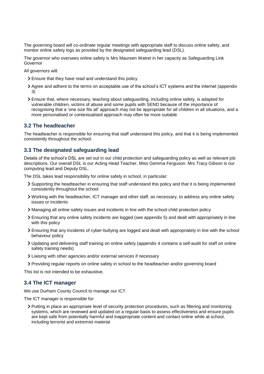The governing board will co-ordinate regular meetings with appropriate staff to discuss online safety, and monitor online safety logs as provided by the designated safeguarding lead (DSL).

The governor who oversees online safety is Mrs Maureen Watret in her capacity as Safeguarding Link Governor

All governors will:

- Ensure that they have read and understand this policy
- Agree and adhere to the terms on acceptable use of the school's ICT systems and the internet (appendix 3)
- Ensure that, where necessary, teaching about safeguarding, including online safety, is adapted for vulnerable children, victims of abuse and some pupils with SEND because of the importance of recognising that a 'one size fits all' approach may not be appropriate for all children in all situations, and a more personalised or contextualised approach may often be more suitable

#### **3.2 The headteacher**

The headteacher is responsible for ensuring that staff understand this policy, and that it is being implemented consistently throughout the school.

#### **3.3 The designated safeguarding lead**

Details of the school's DSL are set out in our child protection and safeguarding policy as well as relevant job descriptions. Our overall DSL is our Acting Head Teacher, Miss Gemma Ferguson. Mrs Tracy Gibson is our computing lead and Deputy DSL.

The DSL takes lead responsibility for online safety in school, in particular:

- Supporting the headteacher in ensuring that staff understand this policy and that it is being implemented consistently throughout the school
- Working with the headteacher, ICT manager and other staff, as necessary, to address any online safety issues or incidents
- Managing all online safety issues and incidents in line with the school child protection policy
- Ensuring that any online safety incidents are logged (see appendix 5) and dealt with appropriately in line with this policy
- Ensuring that any incidents of cyber-bullying are logged and dealt with appropriately in line with the school behaviour policy
- Updating and delivering staff training on online safety (appendix 4 contains a self-audit for staff on online safety training needs)
- Liaising with other agencies and/or external services if necessary
- Providing regular reports on online safety in school to the headteacher and/or governing board

This list is not intended to be exhaustive.

#### **3.4 The ICT manager**

We use Durham County Council to manage our ICT.

The ICT manager is responsible for:

Putting in place an appropriate level of security protection procedures, such as filtering and monitoring systems, which are reviewed and updated on a regular basis to assess effectiveness and ensure pupils are kept safe from potentially harmful and inappropriate content and contact online while at school, including terrorist and extremist material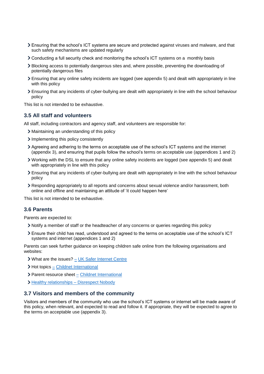- Ensuring that the school's ICT systems are secure and protected against viruses and malware, and that such safety mechanisms are updated regularly
- Conducting a full security check and monitoring the school's ICT systems on a monthly basis
- Blocking access to potentially dangerous sites and, where possible, preventing the downloading of potentially dangerous files
- Ensuring that any online safety incidents are logged (see appendix 5) and dealt with appropriately in line with this policy
- Ensuring that any incidents of cyber-bullying are dealt with appropriately in line with the school behaviour policy

This list is not intended to be exhaustive.

#### **3.5 All staff and volunteers**

All staff, including contractors and agency staff, and volunteers are responsible for:

- Maintaining an understanding of this policy
- Implementing this policy consistently
- Agreeing and adhering to the terms on acceptable use of the school's ICT systems and the internet (appendix 3), and ensuring that pupils follow the school's terms on acceptable use (appendices 1 and 2)
- Working with the DSL to ensure that any online safety incidents are logged (see appendix 5) and dealt with appropriately in line with this policy
- Ensuring that any incidents of cyber-bullying are dealt with appropriately in line with the school behaviour policy
- Responding appropriately to all reports and concerns about sexual violence and/or harassment, both online and offline and maintaining an attitude of 'it could happen here'

This list is not intended to be exhaustive.

#### **3.6 Parents**

Parents are expected to:

- Notify a member of staff or the headteacher of any concerns or queries regarding this policy
- Ensure their child has read, understood and agreed to the terms on acceptable use of the school's ICT systems and internet (appendices 1 and 2)

Parents can seek further guidance on keeping children safe online from the following organisations and websites:

- What are the issues? [UK Safer Internet Centre](https://www.saferinternet.org.uk/advice-centre/parents-and-carers/what-are-issues)
- > Hot topics [Childnet International](http://www.childnet.com/parents-and-carers/hot-topics)
- $\triangleright$  Parent resource sheet  $\overline{-}$  [Childnet International](https://www.childnet.com/resources/parents-and-carers-resource-sheet)
- > Healthy relationships [Disrespect Nobody](https://www.disrespectnobody.co.uk/)

#### **3.7 Visitors and members of the community**

Visitors and members of the community who use the school's ICT systems or internet will be made aware of this policy, when relevant, and expected to read and follow it. If appropriate, they will be expected to agree to the terms on acceptable use (appendix 3).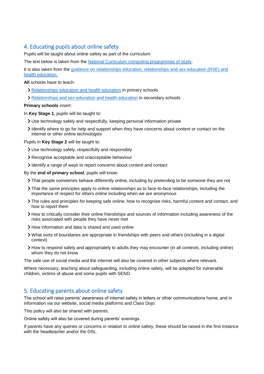#### <span id="page-5-0"></span>4. Educating pupils about online safety

Pupils will be taught about online safety as part of the curriculum:

The text below is taken from the [National Curriculum computing programmes of study.](https://www.gov.uk/government/publications/national-curriculum-in-england-computing-programmes-of-study/national-curriculum-in-england-computing-programmes-of-study)

It is also taken from the [guidance on relationships education, relationships and sex education \(RSE\) and](https://www.gov.uk/government/publications/relationships-education-relationships-and-sex-education-rse-and-health-education)  [health education.](https://www.gov.uk/government/publications/relationships-education-relationships-and-sex-education-rse-and-health-education)

**All** schools have to teach:

- [Relationships education and health education](https://schoolleaders.thekeysupport.com/uid/8b76f587-7bf6-4994-abf0-43850c6e8d73/) in primary schools
- [Relationships and sex education and health education](https://schoolleaders.thekeysupport.com/uid/66a1d83e-2fb9-411e-91f1-fe52a09d16d1/) in secondary schools

#### **Primary schools** insert:

In **Key Stage 1**, pupils will be taught to:

- Use technology safely and respectfully, keeping personal information private
- Identify where to go for help and support when they have concerns about content or contact on the internet or other online technologies

Pupils in **Key Stage 2** will be taught to:

- Use technology safely, respectfully and responsibly
- Recognise acceptable and unacceptable behaviour
- I dentify a range of ways to report concerns about content and contact

By the **end of primary school**, pupils will know:

- That people sometimes behave differently online, including by pretending to be someone they are not
- That the same principles apply to online relationships as to face-to-face relationships, including the importance of respect for others online including when we are anonymous
- The rules and principles for keeping safe online, how to recognise risks, harmful content and contact, and how to report them
- How to critically consider their online friendships and sources of information including awareness of the risks associated with people they have never met
- > How information and data is shared and used online
- What sorts of boundaries are appropriate in friendships with peers and others (including in a digital context)
- How to respond safely and appropriately to adults they may encounter (in all contexts, including online) whom they do not know

The safe use of social media and the internet will also be covered in other subjects where relevant.

Where necessary, teaching about safeguarding, including online safety, will be adapted for vulnerable children, victims of abuse and some pupils with SEND.

#### <span id="page-5-1"></span>5. Educating parents about online safety

The school will raise parents' awareness of internet safety in letters or other communications home, and in information via our website, social media platforms and Class Dojo.

This policy will also be shared with parents.

Online safety will also be covered during parents' evenings.

If parents have any queries or concerns in relation to online safety, these should be raised in the first instance with the headteacher and/or the DSL.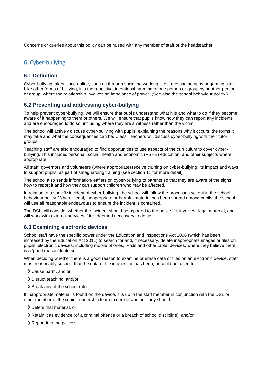Concerns or queries about this policy can be raised with any member of staff or the headteacher.

## <span id="page-6-0"></span>6. Cyber-bullying

#### **6.1 Definition**

Cyber-bullying takes place online, such as through social networking sites, messaging apps or gaming sites. Like other forms of bullying, it is the repetitive, intentional harming of one person or group by another person or group, where the relationship involves an imbalance of power. (See also the school behaviour policy.)

#### **6.2 Preventing and addressing cyber-bullying**

To help prevent cyber-bullying, we will ensure that pupils understand what it is and what to do if they become aware of it happening to them or others. We will ensure that pupils know how they can report any incidents and are encouraged to do so, including where they are a witness rather than the victim.

The school will actively discuss cyber-bullying with pupils, explaining the reasons why it occurs, the forms it may take and what the consequences can be. Class Teachers will discuss cyber-bullying with their tutor groups.

Teaching staff are also encouraged to find opportunities to use aspects of the curriculum to cover cyberbullying. This includes personal, social, health and economic (PSHE) education, and other subjects where appropriate.

All staff, governors and volunteers (where appropriate) receive training on cyber-bullying, its impact and ways to support pupils, as part of safeguarding training (see section 11 for more detail).

The school also sends information/leaflets on cyber-bullying to parents so that they are aware of the signs, how to report it and how they can support children who may be affected.

In relation to a specific incident of cyber-bullying, the school will follow the processes set out in the school behaviour policy. Where illegal, inappropriate or harmful material has been spread among pupils, the school will use all reasonable endeavours to ensure the incident is contained.

The DSL will consider whether the incident should be reported to the police if it involves illegal material, and will work with external services if it is deemed necessary to do so.

#### **6.3 Examining electronic devices**

School staff have the specific power under the Education and Inspections Act 2006 (which has been increased by the Education Act 2011) to search for and, if necessary, delete inappropriate images or files on pupils' electronic devices, including mobile phones, iPads and other tablet devices, where they believe there is a 'good reason' to do so.

When deciding whether there is a good reason to examine or erase data or files on an electronic device, staff must reasonably suspect that the data or file in question has been, or could be, used to:

- Cause harm, and/or
- Disrupt teaching, and/or
- > Break any of the school rules

If inappropriate material is found on the device, it is up to the staff member in conjunction with the DSL or other member of the senior leadership team to decide whether they should:

- Delete that material, or
- Retain it as evidence (of a criminal offence or a breach of school discipline), and/or
- > Report it to the police\*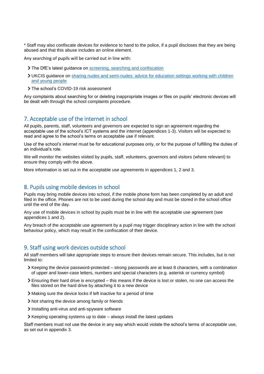\* Staff may also confiscate devices for evidence to hand to the police, if a pupil discloses that they are being abused and that this abuse includes an online element.

Any searching of pupils will be carried out in line with:

- The DfE's latest guidance on [screening, searching and confiscation](https://www.gov.uk/government/publications/searching-screening-and-confiscation)
- UKCIS guidance on [sharing nudes and semi-nudes: advice for education settings working with children](https://www.gov.uk/government/publications/sharing-nudes-and-semi-nudes-advice-for-education-settings-working-with-children-and-young-people)  [and young people](https://www.gov.uk/government/publications/sharing-nudes-and-semi-nudes-advice-for-education-settings-working-with-children-and-young-people)
- > The school's COVID-19 risk assessment

Any complaints about searching for or deleting inappropriate images or files on pupils' electronic devices will be dealt with through the school complaints procedure.

#### <span id="page-7-0"></span>7. Acceptable use of the internet in school

All pupils, parents, staff, volunteers and governors are expected to sign an agreement regarding the acceptable use of the school's ICT systems and the internet (appendices 1-3). Visitors will be expected to read and agree to the school's terms on acceptable use if relevant.

Use of the school's internet must be for educational purposes only, or for the purpose of fulfilling the duties of an individual's role.

We will monitor the websites visited by pupils, staff, volunteers, governors and visitors (where relevant) to ensure they comply with the above.

<span id="page-7-1"></span>More information is set out in the acceptable use agreements in appendices 1, 2 and 3.

#### 8. Pupils using mobile devices in school

Pupils may bring mobile devices into school, if the mobile phone form has been completed by an adult and filed in the office. Phones are not to be used during the school day and must be stored in the school office until the end of the day.

Any use of mobile devices in school by pupils must be in line with the acceptable use agreement (see appendices 1 and 2).

Any breach of the acceptable use agreement by a pupil may trigger disciplinary action in line with the school behaviour policy, which may result in the confiscation of their device.

#### <span id="page-7-2"></span>9. Staff using work devices outside school

All staff members will take appropriate steps to ensure their devices remain secure. This includes, but is not limited to:

- $\triangleright$  Keeping the device password-protected strong passwords are at least 8 characters, with a combination of upper and lower-case letters, numbers and special characters (e.g. asterisk or currency symbol)
- Ensuring their hard drive is encrypted this means if the device is lost or stolen, no one can access the files stored on the hard drive by attaching it to a new device
- Making sure the device locks if left inactive for a period of time
- Not sharing the device among family or friends
- Installing anti-virus and anti-spyware software
- $\triangleright$  Keeping operating systems up to date always install the latest updates

Staff members must not use the device in any way which would violate the school's terms of acceptable use, as set out in appendix 3.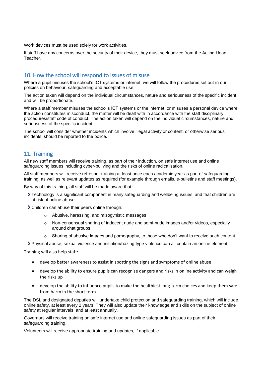Work devices must be used solely for work activities.

If staff have any concerns over the security of their device, they must seek advice from the Acting Head Teacher.

#### <span id="page-8-0"></span>10. How the school will respond to issues of misuse

Where a pupil misuses the school's ICT systems or internet, we will follow the procedures set out in our policies on behaviour, safeguarding and acceptable use.

The action taken will depend on the individual circumstances, nature and seriousness of the specific incident, and will be proportionate.

Where a staff member misuses the school's ICT systems or the internet, or misuses a personal device where the action constitutes misconduct, the matter will be dealt with in accordance with the staff disciplinary procedures/staff code of conduct. The action taken will depend on the individual circumstances, nature and seriousness of the specific incident.

The school will consider whether incidents which involve illegal activity or content, or otherwise serious incidents, should be reported to the police.

#### <span id="page-8-1"></span>11. Training

All new staff members will receive training, as part of their induction, on safe internet use and online safeguarding issues including cyber-bullying and the risks of online radicalisation.

All staff members will receive refresher training at least once each academic year as part of safeguarding training, as well as relevant updates as required (for example through emails, e-bulletins and staff meetings).

By way of this training, all staff will be made aware that:

- Technology is a significant component in many safeguarding and wellbeing issues, and that children are at risk of online abuse
- Children can abuse their peers online through:
	- o Abusive, harassing, and misogynistic messages
	- o Non-consensual sharing of indecent nude and semi-nude images and/or videos, especially around chat groups
	- $\circ$  Sharing of abusive images and pornography, to those who don't want to receive such content

Physical abuse, sexual violence and initiation/hazing type violence can all contain an online element

Training will also help staff:

- develop better awareness to assist in spotting the signs and symptoms of online abuse
- develop the ability to ensure pupils can recognise dangers and risks in online activity and can weigh the risks up
- develop the ability to influence pupils to make the healthiest long-term choices and keep them safe from harm in the short term

The DSL and designated deputies will undertake child protection and safeguarding training, which will include online safety, at least every 2 years. They will also update their knowledge and skills on the subject of online safety at regular intervals, and at least annually.

Governors will receive training on safe internet use and online safeguarding issues as part of their safeguarding training.

Volunteers will receive appropriate training and updates, if applicable.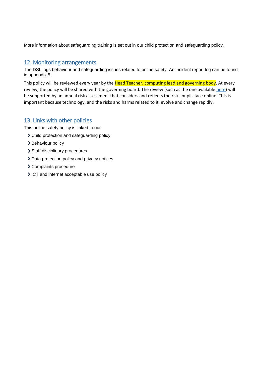<span id="page-9-0"></span>More information about safeguarding training is set out in our child protection and safeguarding policy.

#### 12. Monitoring arrangements

The DSL logs behaviour and safeguarding issues related to online safety. An incident report log can be found in appendix 5.

This policy will be reviewed every year by the Head Teacher, computing lead and governing body. At every review, the policy will be shared with the governing board. The review (such as the one availabl[e here\)](https://360safe.org.uk/) will be supported by an annual risk assessment that considers and reflects the risks pupils face online. This is important because technology, and the risks and harms related to it, evolve and change rapidly.

#### <span id="page-9-1"></span>13. Links with other policies

This online safety policy is linked to our:

- Child protection and safeguarding policy
- > Behaviour policy
- > Staff disciplinary procedures
- > Data protection policy and privacy notices
- Complaints procedure
- ICT and internet acceptable use policy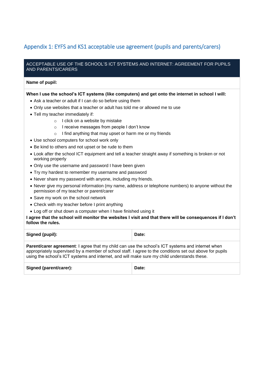# <span id="page-10-0"></span>Appendix 1: EYFS and KS1 acceptable use agreement (pupils and parents/carers)

#### ACCEPTABLE USE OF THE SCHOOL'S ICT SYSTEMS AND INTERNET: AGREEMENT FOR PUPILS AND PARENTS/CARERS

#### **Name of pupil:**

#### **When I use the school's ICT systems (like computers) and get onto the internet in school I will:**

- Ask a teacher or adult if I can do so before using them
- Only use websites that a teacher or adult has told me or allowed me to use
- Tell my teacher immediately if:
	- o I click on a website by mistake
	- o I receive messages from people I don't know
	- o I find anything that may upset or harm me or my friends
- Use school computers for school work only
- Be kind to others and not upset or be rude to them
- Look after the school ICT equipment and tell a teacher straight away if something is broken or not working properly
- Only use the username and password I have been given
- Try my hardest to remember my username and password
- Never share my password with anyone, including my friends.
- Never give my personal information (my name, address or telephone numbers) to anyone without the permission of my teacher or parent/carer
- Save my work on the school network
- Check with my teacher before I print anything
- Log off or shut down a computer when I have finished using it

**I agree that the school will monitor the websites I visit and that there will be consequences if I don't follow the rules.**

| <b>Signed (pupil):</b>                                                                                 | Date: |  |
|--------------------------------------------------------------------------------------------------------|-------|--|
| <b>Detaphlents careement:</b> Legree that my objd can use the school's ICT overame and internative han |       |  |

**Parent/carer agreement**: I agree that my child can use the school's ICT systems and internet when appropriately supervised by a member of school staff. I agree to the conditions set out above for pupils using the school's ICT systems and internet, and will make sure my child understands these.

<span id="page-10-1"></span>Signed (parent/carer): **Date: Date: Date:**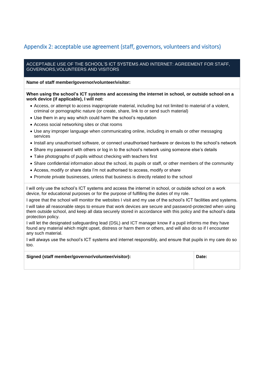# Appendix 2: acceptable use agreement (staff, governors, volunteers and visitors)

#### ACCEPTABLE USE OF THE SCHOOL'S ICT SYSTEMS AND INTERNET: AGREEMENT FOR STAFF, GOVERNORS,VOLUNTEERS AND VISITORS

**Name of staff member/governor/volunteer/visitor:**

#### **When using the school's ICT systems and accessing the internet in school, or outside school on a work device (if applicable), I will not:**

- Access, or attempt to access inappropriate material, including but not limited to material of a violent, criminal or pornographic nature (or create, share, link to or send such material)
- Use them in any way which could harm the school's reputation
- Access social networking sites or chat rooms
- Use any improper language when communicating online, including in emails or other messaging services
- Install any unauthorised software, or connect unauthorised hardware or devices to the school's network
- Share my password with others or log in to the school's network using someone else's details
- Take photographs of pupils without checking with teachers first
- Share confidential information about the school, its pupils or staff, or other members of the community
- Access, modify or share data I'm not authorised to access, modify or share
- Promote private businesses, unless that business is directly related to the school

I will only use the school's ICT systems and access the internet in school, or outside school on a work device, for educational purposes or for the purpose of fulfilling the duties of my role.

I agree that the school will monitor the websites I visit and my use of the school's ICT facilities and systems. I will take all reasonable steps to ensure that work devices are secure and password-protected when using them outside school, and keep all data securely stored in accordance with this policy and the school's data protection policy.

I will let the designated safeguarding lead (DSL) and ICT manager know if a pupil informs me they have found any material which might upset, distress or harm them or others, and will also do so if I encounter any such material.

I will always use the school's ICT systems and internet responsibly, and ensure that pupils in my care do so too.

| Signed (staff member/governor/volunteer/visitor): | Date: |
|---------------------------------------------------|-------|
|                                                   |       |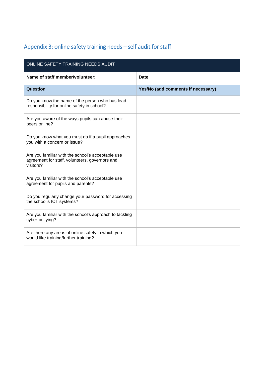# <span id="page-12-0"></span>Appendix 3: online safety training needs – self audit for staff

| ONLINE SAFETY TRAINING NEEDS AUDIT                                                                               |                                    |  |
|------------------------------------------------------------------------------------------------------------------|------------------------------------|--|
| Name of staff member/volunteer:                                                                                  | Date:                              |  |
| Question                                                                                                         | Yes/No (add comments if necessary) |  |
| Do you know the name of the person who has lead<br>responsibility for online safety in school?                   |                                    |  |
| Are you aware of the ways pupils can abuse their<br>peers online?                                                |                                    |  |
| Do you know what you must do if a pupil approaches<br>you with a concern or issue?                               |                                    |  |
| Are you familiar with the school's acceptable use<br>agreement for staff, volunteers, governors and<br>visitors? |                                    |  |
| Are you familiar with the school's acceptable use<br>agreement for pupils and parents?                           |                                    |  |
| Do you regularly change your password for accessing<br>the school's ICT systems?                                 |                                    |  |
| Are you familiar with the school's approach to tackling<br>cyber-bullying?                                       |                                    |  |
| Are there any areas of online safety in which you<br>would like training/further training?                       |                                    |  |